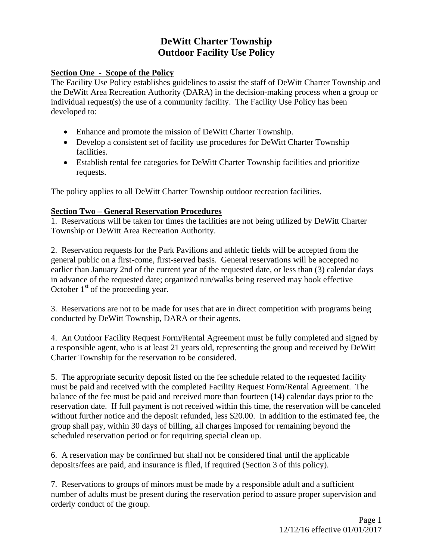# **DeWitt Charter Township Outdoor Facility Use Policy**

### **Section One - Scope of the Policy**

The Facility Use Policy establishes guidelines to assist the staff of DeWitt Charter Township and the DeWitt Area Recreation Authority (DARA) in the decision-making process when a group or individual request(s) the use of a community facility. The Facility Use Policy has been developed to:

- Enhance and promote the mission of DeWitt Charter Township.
- Develop a consistent set of facility use procedures for DeWitt Charter Township facilities.
- Establish rental fee categories for DeWitt Charter Township facilities and prioritize requests.

The policy applies to all DeWitt Charter Township outdoor recreation facilities.

#### **Section Two – General Reservation Procedures**

1. Reservations will be taken for times the facilities are not being utilized by DeWitt Charter Township or DeWitt Area Recreation Authority.

2. Reservation requests for the Park Pavilions and athletic fields will be accepted from the general public on a first-come, first-served basis. General reservations will be accepted no earlier than January 2nd of the current year of the requested date, or less than (3) calendar days in advance of the requested date; organized run/walks being reserved may book effective October  $1<sup>st</sup>$  of the proceeding year.

3. Reservations are not to be made for uses that are in direct competition with programs being conducted by DeWitt Township, DARA or their agents.

4. An Outdoor Facility Request Form/Rental Agreement must be fully completed and signed by a responsible agent, who is at least 21 years old, representing the group and received by DeWitt Charter Township for the reservation to be considered.

5. The appropriate security deposit listed on the fee schedule related to the requested facility must be paid and received with the completed Facility Request Form/Rental Agreement. The balance of the fee must be paid and received more than fourteen (14) calendar days prior to the reservation date. If full payment is not received within this time, the reservation will be canceled without further notice and the deposit refunded, less \$20.00. In addition to the estimated fee, the group shall pay, within 30 days of billing, all charges imposed for remaining beyond the scheduled reservation period or for requiring special clean up.

6. A reservation may be confirmed but shall not be considered final until the applicable deposits/fees are paid, and insurance is filed, if required (Section 3 of this policy).

7. Reservations to groups of minors must be made by a responsible adult and a sufficient number of adults must be present during the reservation period to assure proper supervision and orderly conduct of the group.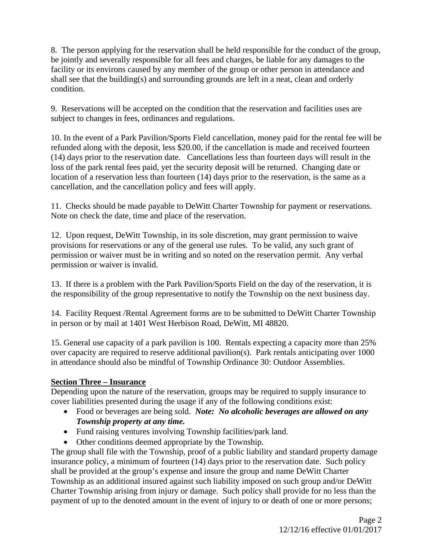8. The person applying for the reservation shall be held responsible for the conduct of the group, be jointly and severally responsible for all fees and charges, be liable for any damages to the facility or its environs caused by any member of the group or other person in attendance and shall see that the building(s) and surrounding grounds are left in a neat, clean and orderly condition.

9. Reservations will be accepted on the condition that the reservation and facilities uses are subject to changes in fees, ordinances and regulations.

10. In the event of a Park Pavilion/Sports Field cancellation, money paid for the rental fee will be refunded along with the deposit, less \$20.00, if the cancellation is made and received fourteen (14) days prior to the reservation date. Cancellations less than fourteen days will result in the loss of the park rental fees paid, yet the security deposit will be returned. Changing date or location of a reservation less than fourteen (14) days prior to the reservation, is the same as a cancellation, and the cancellation policy and fees will apply.

11. Checks should be made payable to DeWitt Charter Township for payment or reservations. Note on check the date, time and place of the reservation.

12. Upon request, DeWitt Township, in its sole discretion, may grant permission to waive provisions for reservations or any of the general use rules. To be valid, any such grant of permission or waiver must be in writing and so noted on the reservation permit. Any verbal permission or waiver is invalid.

13. If there is a problem with the Park Pavilion/Sports Field on the day of the reservation, it is the responsibility of the group representative to notify the Township on the next business day.

14. Facility Request /Rental Agreement forms are to be submitted to DeWitt Charter Township in person or by mail at 1401 West Herbison Road, DeWitt, MI 48820.

15. General use capacity of a park pavilion is 100. Rentals expecting a capacity more than 25% over capacity are required to reserve additional pavilion(s). Park rentals anticipating over 1000 in attendance should also be mindful of Township Ordinance 30: Outdoor Assemblies.

# **Section Three – Insurance**

Depending upon the nature of the reservation, groups may be required to supply insurance to cover liabilities presented during the usage if any of the following conditions exist:

- Food or beverages are being sold. *Note: No alcoholic beverages are allowed on any Township property at any time.*
- Fund raising ventures involving Township facilities/park land.
- Other conditions deemed appropriate by the Township.

The group shall file with the Township, proof of a public liability and standard property damage insurance policy, a minimum of fourteen (14) days prior to the reservation date. Such policy shall be provided at the group's expense and insure the group and name DeWitt Charter Township as an additional insured against such liability imposed on such group and/or DeWitt Charter Township arising from injury or damage. Such policy shall provide for no less than the payment of up to the denoted amount in the event of injury to or death of one or more persons;